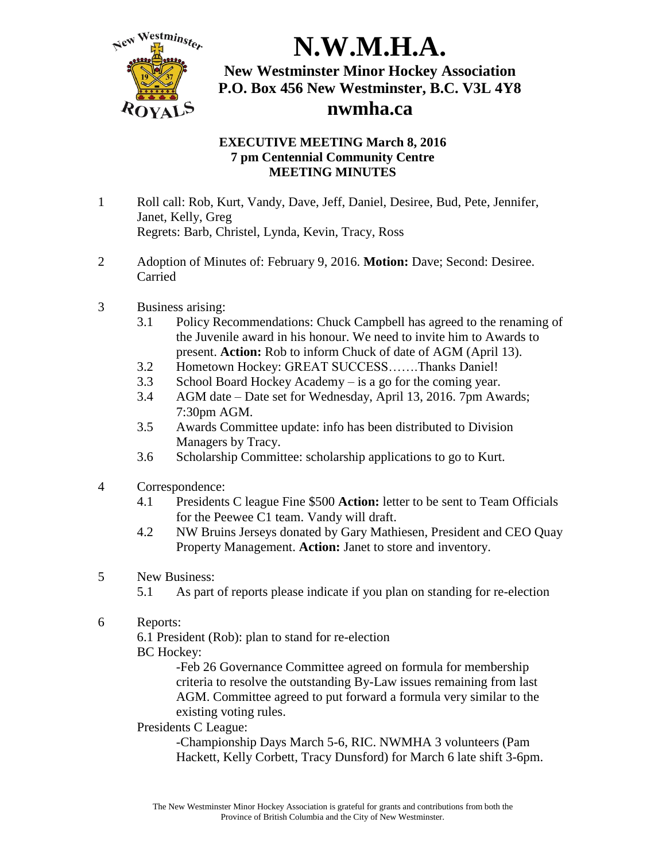

### **EXECUTIVE MEETING March 8, 2016 7 pm Centennial Community Centre MEETING MINUTES**

- 1 Roll call: Rob, Kurt, Vandy, Dave, Jeff, Daniel, Desiree, Bud, Pete, Jennifer, Janet, Kelly, Greg Regrets: Barb, Christel, Lynda, Kevin, Tracy, Ross
- 2 Adoption of Minutes of: February 9, 2016. **Motion:** Dave; Second: Desiree. Carried
- 3 Business arising:
	- 3.1 Policy Recommendations: Chuck Campbell has agreed to the renaming of the Juvenile award in his honour. We need to invite him to Awards to present. **Action:** Rob to inform Chuck of date of AGM (April 13).
	- 3.2 Hometown Hockey: GREAT SUCCESS…….Thanks Daniel!
	- 3.3 School Board Hockey Academy is a go for the coming year.
	- 3.4 AGM date Date set for Wednesday, April 13, 2016. 7pm Awards; 7:30pm AGM.
	- 3.5 Awards Committee update: info has been distributed to Division Managers by Tracy.
	- 3.6 Scholarship Committee: scholarship applications to go to Kurt.
- 4 Correspondence:
	- 4.1 Presidents C league Fine \$500 **Action:** letter to be sent to Team Officials for the Peewee C1 team. Vandy will draft.
	- 4.2 NW Bruins Jerseys donated by Gary Mathiesen, President and CEO Quay Property Management. **Action:** Janet to store and inventory.
- 5 New Business:
	- 5.1 As part of reports please indicate if you plan on standing for re-election
- 6 Reports:

6.1 President (Rob): plan to stand for re-election BC Hockey:

> -Feb 26 Governance Committee agreed on formula for membership criteria to resolve the outstanding By-Law issues remaining from last AGM. Committee agreed to put forward a formula very similar to the existing voting rules.

#### Presidents C League:

-Championship Days March 5-6, RIC. NWMHA 3 volunteers (Pam Hackett, Kelly Corbett, Tracy Dunsford) for March 6 late shift 3-6pm.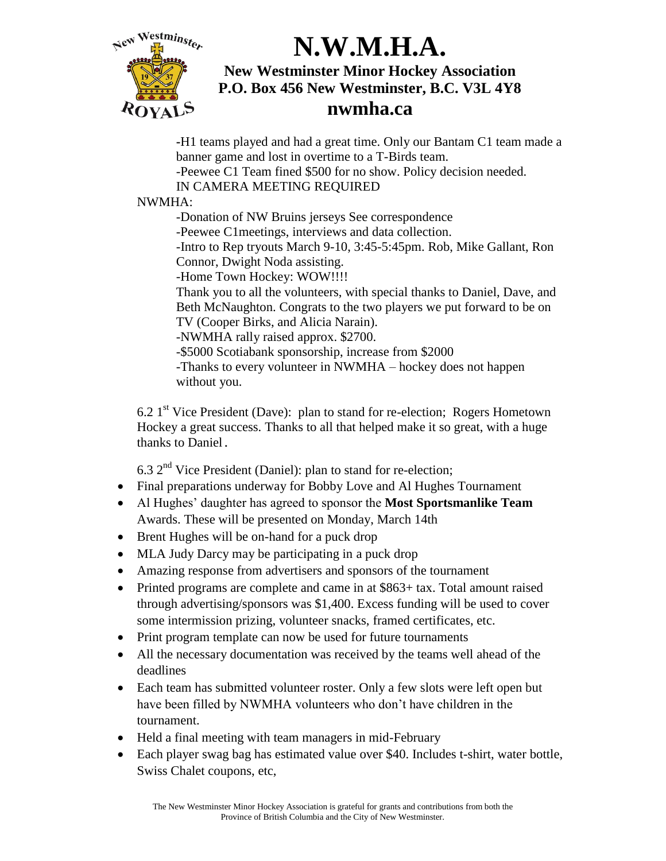

**-**H1 teams played and had a great time. Only our Bantam C1 team made a banner game and lost in overtime to a T-Birds team.

-Peewee C1 Team fined \$500 for no show. Policy decision needed.

IN CAMERA MEETING REQUIRED

### NWMHA:

-Donation of NW Bruins jerseys See correspondence

-Peewee C1meetings, interviews and data collection.

-Intro to Rep tryouts March 9-10, 3:45-5:45pm. Rob, Mike Gallant, Ron Connor, Dwight Noda assisting.

-Home Town Hockey: WOW!!!!

Thank you to all the volunteers, with special thanks to Daniel, Dave, and Beth McNaughton. Congrats to the two players we put forward to be on TV (Cooper Birks, and Alicia Narain).

-NWMHA rally raised approx. \$2700.

-\$5000 Scotiabank sponsorship, increase from \$2000

-Thanks to every volunteer in NWMHA – hockey does not happen without you.

 $6.21<sup>st</sup>$  Vice President (Dave): plan to stand for re-election; Rogers Hometown Hockey a great success. Thanks to all that helped make it so great, with a huge thanks to Daniel.

 $6.3$   $2<sup>nd</sup>$  Vice President (Daniel): plan to stand for re-election;

- Final preparations underway for Bobby Love and Al Hughes Tournament
- Al Hughes' daughter has agreed to sponsor the **Most Sportsmanlike Team**  Awards. These will be presented on Monday, March 14th
- Brent Hughes will be on-hand for a puck drop
- MLA Judy Darcy may be participating in a puck drop
- Amazing response from advertisers and sponsors of the tournament
- Printed programs are complete and came in at \$863+ tax. Total amount raised through advertising/sponsors was \$1,400. Excess funding will be used to cover some intermission prizing, volunteer snacks, framed certificates, etc.
- Print program template can now be used for future tournaments
- All the necessary documentation was received by the teams well ahead of the deadlines
- Each team has submitted volunteer roster. Only a few slots were left open but have been filled by NWMHA volunteers who don't have children in the tournament.
- Held a final meeting with team managers in mid-February
- Each player swag bag has estimated value over \$40. Includes t-shirt, water bottle, Swiss Chalet coupons, etc,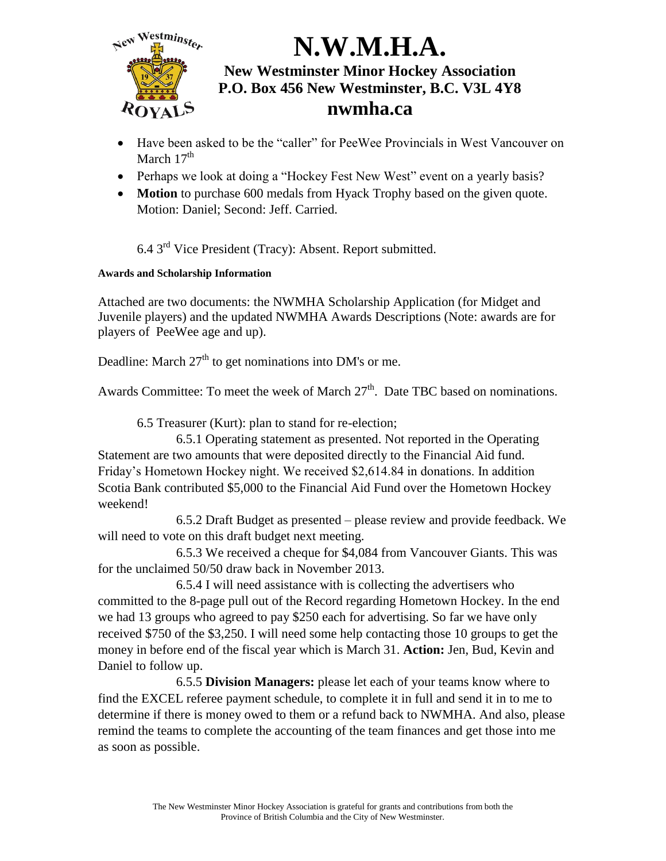

- Have been asked to be the "caller" for PeeWee Provincials in West Vancouver on March 17<sup>th</sup>
- Perhaps we look at doing a "Hockey Fest New West" event on a yearly basis?
- **Motion** to purchase 600 medals from Hyack Trophy based on the given quote. Motion: Daniel; Second: Jeff. Carried.

6.4 3<sup>rd</sup> Vice President (Tracy): Absent. Report submitted.

### **Awards and Scholarship Information**

Attached are two documents: the NWMHA Scholarship Application (for Midget and Juvenile players) and the updated NWMHA Awards Descriptions (Note: awards are for players of PeeWee age and up).

Deadline: March  $27<sup>th</sup>$  to get nominations into DM's or me.

Awards Committee: To meet the week of March 27<sup>th</sup>. Date TBC based on nominations.

6.5 Treasurer (Kurt): plan to stand for re-election;

6.5.1 Operating statement as presented. Not reported in the Operating Statement are two amounts that were deposited directly to the Financial Aid fund. Friday's Hometown Hockey night. We received \$2,614.84 in donations. In addition Scotia Bank contributed \$5,000 to the Financial Aid Fund over the Hometown Hockey weekend!

6.5.2 Draft Budget as presented – please review and provide feedback. We will need to vote on this draft budget next meeting.

6.5.3 We received a cheque for \$4,084 from Vancouver Giants. This was for the unclaimed 50/50 draw back in November 2013.

6.5.4 I will need assistance with is collecting the advertisers who committed to the 8-page pull out of the Record regarding Hometown Hockey. In the end we had 13 groups who agreed to pay \$250 each for advertising. So far we have only received \$750 of the \$3,250. I will need some help contacting those 10 groups to get the money in before end of the fiscal year which is March 31. **Action:** Jen, Bud, Kevin and Daniel to follow up.

6.5.5 **Division Managers:** please let each of your teams know where to find the EXCEL referee payment schedule, to complete it in full and send it in to me to determine if there is money owed to them or a refund back to NWMHA. And also, please remind the teams to complete the accounting of the team finances and get those into me as soon as possible.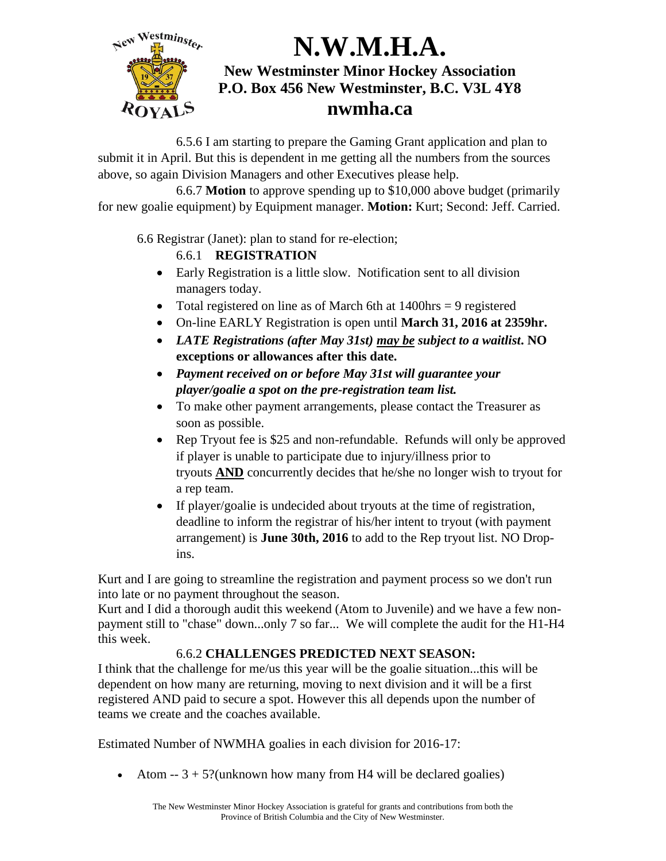

6.5.6 I am starting to prepare the Gaming Grant application and plan to submit it in April. But this is dependent in me getting all the numbers from the sources above, so again Division Managers and other Executives please help.

6.6.7 **Motion** to approve spending up to \$10,000 above budget (primarily for new goalie equipment) by Equipment manager. **Motion:** Kurt; Second: Jeff. Carried.

6.6 Registrar (Janet): plan to stand for re-election;

### 6.6.1 **REGISTRATION**

- Early Registration is a little slow. Notification sent to all division managers today.
- Total registered on line as of March 6th at  $1400$ hrs = 9 registered
- On-line EARLY Registration is open until **March 31, 2016 at 2359hr.**
- *LATE Registrations (after May 31st) may be subject to a waitlist***. NO exceptions or allowances after this date.**
- *Payment received on or before May 31st will guarantee your player/goalie a spot on the pre-registration team list.*
- To make other payment arrangements, please contact the Treasurer as soon as possible.
- Rep Tryout fee is \$25 and non-refundable. Refunds will only be approved if player is unable to participate due to injury/illness prior to tryouts **AND** concurrently decides that he/she no longer wish to tryout for a rep team.
- If player/goalie is undecided about tryouts at the time of registration, deadline to inform the registrar of his/her intent to tryout (with payment arrangement) is **June 30th, 2016** to add to the Rep tryout list. NO Dropins.

Kurt and I are going to streamline the registration and payment process so we don't run into late or no payment throughout the season.

Kurt and I did a thorough audit this weekend (Atom to Juvenile) and we have a few nonpayment still to "chase" down...only 7 so far... We will complete the audit for the H1-H4 this week.

### 6.6.2 **CHALLENGES PREDICTED NEXT SEASON:**

I think that the challenge for me/us this year will be the goalie situation...this will be dependent on how many are returning, moving to next division and it will be a first registered AND paid to secure a spot. However this all depends upon the number of teams we create and the coaches available.

Estimated Number of NWMHA goalies in each division for 2016-17:

• Atom  $-3 + 5$ ?(unknown how many from H4 will be declared goalies)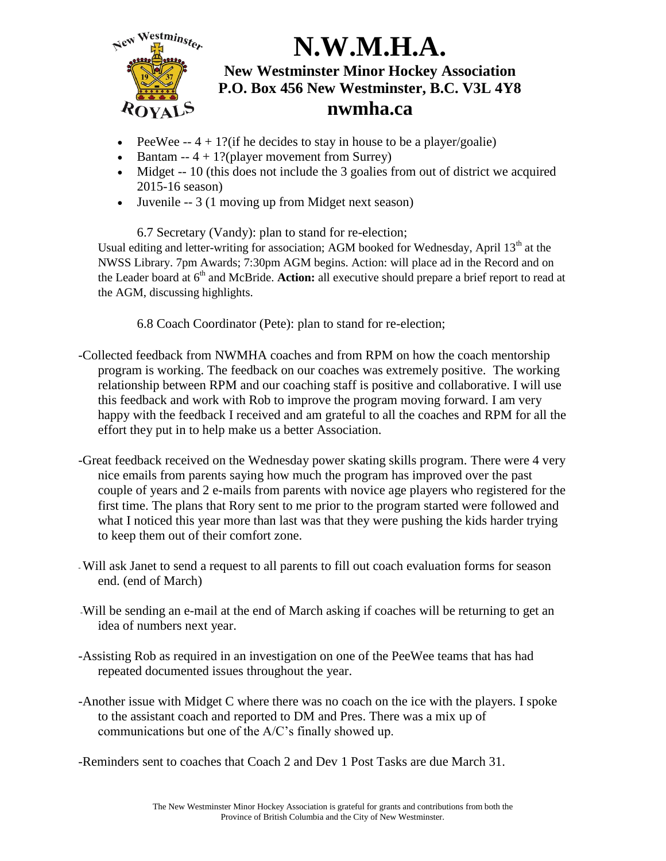

- PeeWee  $-4 + 1$ ? (if he decides to stay in house to be a player/goalie)
- Bantam --  $4 + 1$ ?(player movement from Surrey)
- $\bullet$  Midget  $-10$  (this does not include the 3 goalies from out of district we acquired 2015-16 season)
- Juvenile -- 3 (1 moving up from Midget next season)

6.7 Secretary (Vandy): plan to stand for re-election; Usual editing and letter-writing for association; AGM booked for Wednesday, April  $13<sup>th</sup>$  at the NWSS Library. 7pm Awards; 7:30pm AGM begins. Action: will place ad in the Record and on the Leader board at 6<sup>th</sup> and McBride. **Action:** all executive should prepare a brief report to read at the AGM, discussing highlights.

6.8 Coach Coordinator (Pete): plan to stand for re-election;

- -Collected feedback from NWMHA coaches and from RPM on how the coach mentorship program is working. The feedback on our coaches was extremely positive. The working relationship between RPM and our coaching staff is positive and collaborative. I will use this feedback and work with Rob to improve the program moving forward. I am very happy with the feedback I received and am grateful to all the coaches and RPM for all the effort they put in to help make us a better Association.
- -Great feedback received on the Wednesday power skating skills program. There were 4 very nice emails from parents saying how much the program has improved over the past couple of years and 2 e-mails from parents with novice age players who registered for the first time. The plans that Rory sent to me prior to the program started were followed and what I noticed this year more than last was that they were pushing the kids harder trying to keep them out of their comfort zone.
- -Will ask Janet to send a request to all parents to fill out coach evaluation forms for season end. (end of March)
- -Will be sending an e-mail at the end of March asking if coaches will be returning to get an idea of numbers next year.
- -Assisting Rob as required in an investigation on one of the PeeWee teams that has had repeated documented issues throughout the year.
- -Another issue with Midget C where there was no coach on the ice with the players. I spoke to the assistant coach and reported to DM and Pres. There was a mix up of communications but one of the A/C's finally showed up.
- -Reminders sent to coaches that Coach 2 and Dev 1 Post Tasks are due March 31.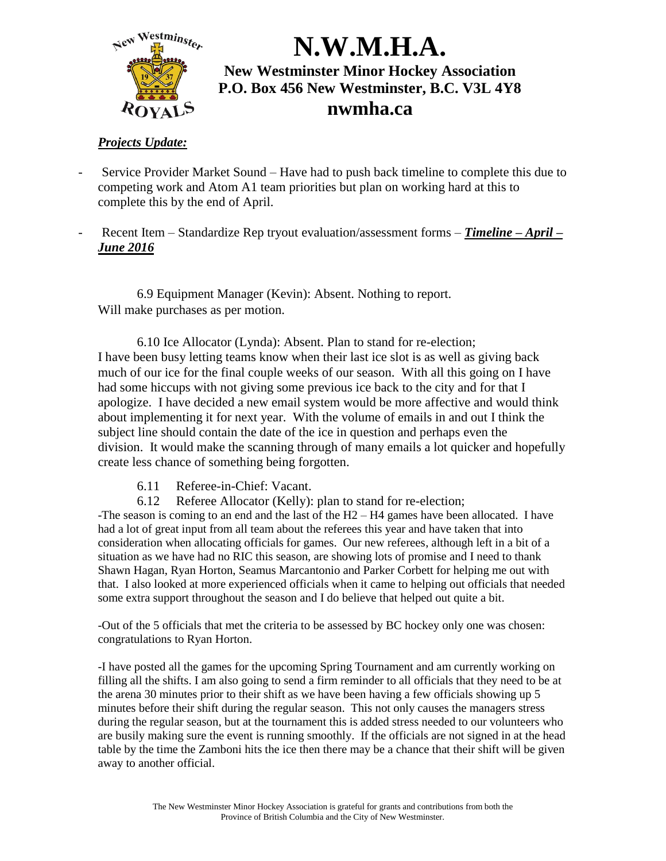

### *Projects Update:*

- Service Provider Market Sound Have had to push back timeline to complete this due to competing work and Atom A1 team priorities but plan on working hard at this to complete this by the end of April.
- Recent Item Standardize Rep tryout evaluation/assessment forms *Timeline – April – June 2016*

6.9 Equipment Manager (Kevin): Absent. Nothing to report. Will make purchases as per motion.

6.10 Ice Allocator (Lynda): Absent. Plan to stand for re-election; I have been busy letting teams know when their last ice slot is as well as giving back much of our ice for the final couple weeks of our season. With all this going on I have had some hiccups with not giving some previous ice back to the city and for that I apologize. I have decided a new email system would be more affective and would think about implementing it for next year. With the volume of emails in and out I think the subject line should contain the date of the ice in question and perhaps even the division. It would make the scanning through of many emails a lot quicker and hopefully create less chance of something being forgotten.

- 6.11 Referee-in-Chief: Vacant.
- 6.12 Referee Allocator (Kelly): plan to stand for re-election;

-The season is coming to an end and the last of the  $H2 - H4$  games have been allocated. I have had a lot of great input from all team about the referees this year and have taken that into consideration when allocating officials for games. Our new referees, although left in a bit of a situation as we have had no RIC this season, are showing lots of promise and I need to thank Shawn Hagan, Ryan Horton, Seamus Marcantonio and Parker Corbett for helping me out with that. I also looked at more experienced officials when it came to helping out officials that needed some extra support throughout the season and I do believe that helped out quite a bit.

-Out of the 5 officials that met the criteria to be assessed by BC hockey only one was chosen: congratulations to Ryan Horton.

-I have posted all the games for the upcoming Spring Tournament and am currently working on filling all the shifts. I am also going to send a firm reminder to all officials that they need to be at the arena 30 minutes prior to their shift as we have been having a few officials showing up 5 minutes before their shift during the regular season. This not only causes the managers stress during the regular season, but at the tournament this is added stress needed to our volunteers who are busily making sure the event is running smoothly. If the officials are not signed in at the head table by the time the Zamboni hits the ice then there may be a chance that their shift will be given away to another official.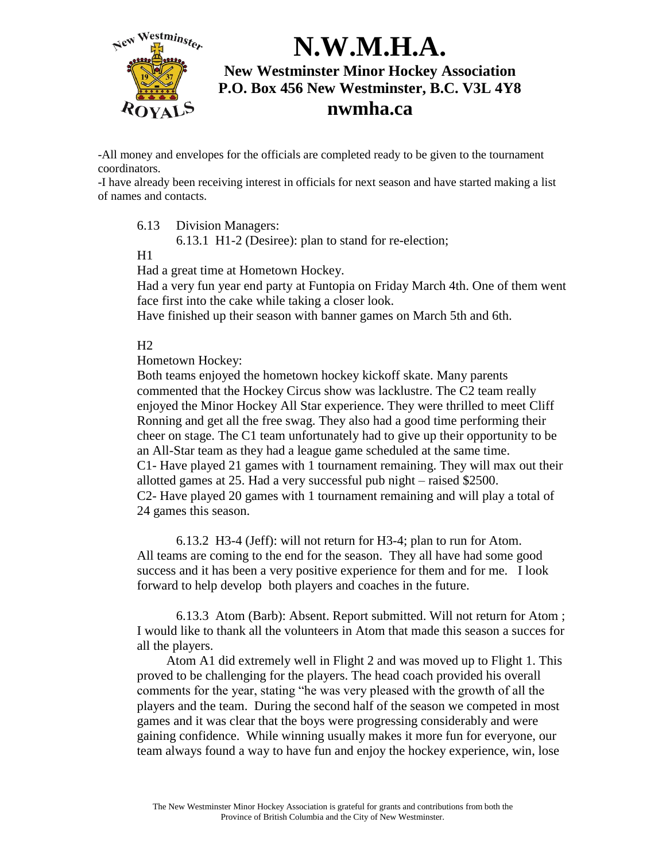

-All money and envelopes for the officials are completed ready to be given to the tournament coordinators.

-I have already been receiving interest in officials for next season and have started making a list of names and contacts.

6.13 Division Managers:

6.13.1 H1-2 (Desiree): plan to stand for re-election;

 $H1$ 

Had a great time at Hometown Hockey.

Had a very fun year end party at Funtopia on Friday March 4th. One of them went face first into the cake while taking a closer look.

Have finished up their season with banner games on March 5th and 6th.

 $H<sub>2</sub>$ 

Hometown Hockey:

Both teams enjoyed the hometown hockey kickoff skate. Many parents commented that the Hockey Circus show was lacklustre. The C2 team really enjoyed the Minor Hockey All Star experience. They were thrilled to meet Cliff Ronning and get all the free swag. They also had a good time performing their cheer on stage. The C1 team unfortunately had to give up their opportunity to be an All-Star team as they had a league game scheduled at the same time. C1- Have played 21 games with 1 tournament remaining. They will max out their allotted games at 25. Had a very successful pub night – raised \$2500. C2- Have played 20 games with 1 tournament remaining and will play a total of 24 games this season.

6.13.2 H3-4 (Jeff): will not return for H3-4; plan to run for Atom. All teams are coming to the end for the season. They all have had some good success and it has been a very positive experience for them and for me. I look forward to help develop both players and coaches in the future.

6.13.3 Atom (Barb): Absent. Report submitted. Will not return for Atom ; I would like to thank all the volunteers in Atom that made this season a succes for all the players.

 Atom A1 did extremely well in Flight 2 and was moved up to Flight 1. This proved to be challenging for the players. The head coach provided his overall comments for the year, stating "he was very pleased with the growth of all the players and the team. During the second half of the season we competed in most games and it was clear that the boys were progressing considerably and were gaining confidence. While winning usually makes it more fun for everyone, our team always found a way to have fun and enjoy the hockey experience, win, lose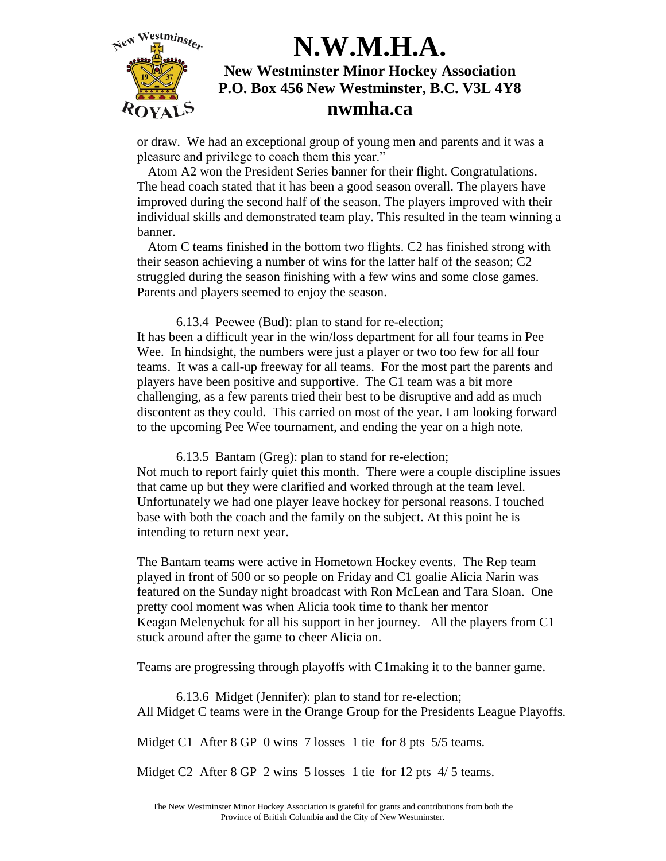

or draw. We had an exceptional group of young men and parents and it was a pleasure and privilege to coach them this year."

Atom A2 won the President Series banner for their flight. Congratulations. The head coach stated that it has been a good season overall. The players have improved during the second half of the season. The players improved with their individual skills and demonstrated team play. This resulted in the team winning a banner.

Atom C teams finished in the bottom two flights. C2 has finished strong with their season achieving a number of wins for the latter half of the season; C2 struggled during the season finishing with a few wins and some close games. Parents and players seemed to enjoy the season.

6.13.4 Peewee (Bud): plan to stand for re-election; It has been a difficult year in the win/loss department for all four teams in Pee Wee. In hindsight, the numbers were just a player or two too few for all four teams. It was a call-up freeway for all teams. For the most part the parents and players have been positive and supportive. The C1 team was a bit more challenging, as a few parents tried their best to be disruptive and add as much discontent as they could. This carried on most of the year. I am looking forward to the upcoming Pee Wee tournament, and ending the year on a high note.

6.13.5 Bantam (Greg): plan to stand for re-election; Not much to report fairly quiet this month. There were a couple discipline issues that came up but they were clarified and worked through at the team level. Unfortunately we had one player leave hockey for personal reasons. I touched base with both the coach and the family on the subject. At this point he is intending to return next year.

The Bantam teams were active in Hometown Hockey events. The Rep team played in front of 500 or so people on Friday and C1 goalie Alicia Narin was featured on the Sunday night broadcast with Ron McLean and Tara Sloan. One pretty cool moment was when Alicia took time to thank her mentor Keagan Melenychuk for all his support in her journey. All the players from C1 stuck around after the game to cheer Alicia on.

Teams are progressing through playoffs with C1making it to the banner game.

6.13.6 Midget (Jennifer): plan to stand for re-election; All Midget C teams were in the Orange Group for the Presidents League Playoffs.

Midget C1 After 8 GP 0 wins 7 losses 1 tie for 8 pts 5/5 teams.

Midget C<sub>2</sub> After 8 GP 2 wins 5 losses 1 tie for 12 pts 4/5 teams.